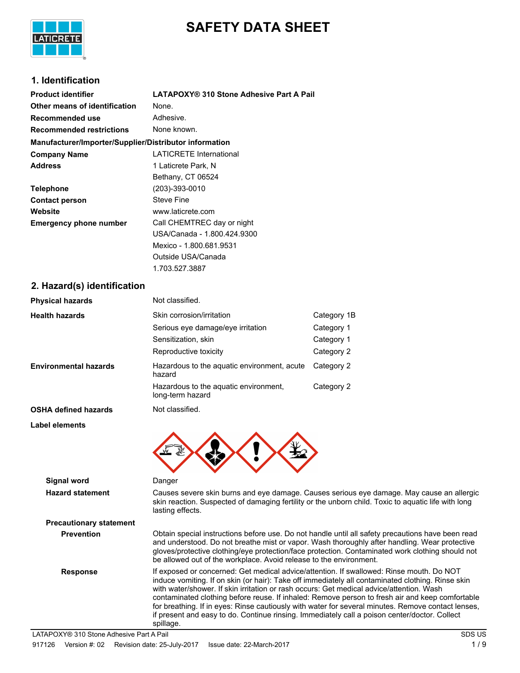

# **SAFETY DATA SHEET**

### **1. Identification**

| <b>Product identifier</b>                              | LATAPOXY® 310 Stone Adhesive Part A Pail |
|--------------------------------------------------------|------------------------------------------|
| Other means of identification                          | None.                                    |
| Recommended use                                        | Adhesive.                                |
| <b>Recommended restrictions</b>                        | None known.                              |
| Manufacturer/Importer/Supplier/Distributor information |                                          |
| <b>Company Name</b>                                    | <b>LATICRETE International</b>           |
| <b>Address</b>                                         | 1 Laticrete Park, N                      |
|                                                        | Bethany, CT 06524                        |
| <b>Telephone</b>                                       | $(203) - 393 - 0010$                     |
| <b>Contact person</b>                                  | <b>Steve Fine</b>                        |
| Website                                                | www.laticrete.com                        |
| <b>Emergency phone number</b>                          | Call CHEMTREC day or night               |
|                                                        | USA/Canada - 1.800.424.9300              |
|                                                        | Mexico - 1.800.681.9531                  |
|                                                        | Outside USA/Canada                       |
|                                                        | 1.703.527.3887                           |

### **2. Hazard(s) identification**

| <b>Physical hazards</b>        | Not classified.                                                                                                                                                                                                      |                                                                                                                                                                                                                                                                                                        |
|--------------------------------|----------------------------------------------------------------------------------------------------------------------------------------------------------------------------------------------------------------------|--------------------------------------------------------------------------------------------------------------------------------------------------------------------------------------------------------------------------------------------------------------------------------------------------------|
| <b>Health hazards</b>          | Skin corrosion/irritation                                                                                                                                                                                            | Category 1B                                                                                                                                                                                                                                                                                            |
|                                | Serious eye damage/eye irritation                                                                                                                                                                                    | Category 1                                                                                                                                                                                                                                                                                             |
|                                | Sensitization, skin                                                                                                                                                                                                  | Category 1                                                                                                                                                                                                                                                                                             |
|                                | Reproductive toxicity                                                                                                                                                                                                | Category 2                                                                                                                                                                                                                                                                                             |
| <b>Environmental hazards</b>   | Hazardous to the aquatic environment, acute<br>hazard                                                                                                                                                                | Category 2                                                                                                                                                                                                                                                                                             |
|                                | Hazardous to the aquatic environment,<br>long-term hazard                                                                                                                                                            | Category 2                                                                                                                                                                                                                                                                                             |
| OSHA defined hazards           | Not classified.                                                                                                                                                                                                      |                                                                                                                                                                                                                                                                                                        |
|                                |                                                                                                                                                                                                                      |                                                                                                                                                                                                                                                                                                        |
| Signal word                    | Danger                                                                                                                                                                                                               |                                                                                                                                                                                                                                                                                                        |
| <b>Hazard statement</b>        | Causes severe skin burns and eye damage. Causes serious eye damage. May cause an allergic<br>skin reaction. Suspected of damaging fertility or the unborn child. Toxic to aquatic life with long<br>lasting effects. |                                                                                                                                                                                                                                                                                                        |
| <b>Precautionary statement</b> |                                                                                                                                                                                                                      |                                                                                                                                                                                                                                                                                                        |
| <b>Prevention</b>              | be allowed out of the workplace. Avoid release to the environment.                                                                                                                                                   | Obtain special instructions before use. Do not handle until all safety precautions have been read<br>and understood. Do not breathe mist or vapor. Wash thoroughly after handling. Wear protective<br>gloves/protective clothing/eye protection/face protection. Contaminated work clothing should not |
| <b>Response</b>                | If exposed or concerned: Get medical advice/attention. If swallowed: Rinse mouth. Do NOT                                                                                                                             | induce vomiting. If on skin (or hair): Take off immediately all contaminated clothing. Rinse skin                                                                                                                                                                                                      |

for breathing. If in eyes: Rinse cautiously with water for several minutes. Remove contact lenses, if present and easy to do. Continue rinsing. Immediately call a poison center/doctor. Collect spillage. LATAPOXY® 310 Stone Adhesive Part A Pail SDS US CONSERVERSIVE PART ARE SUSPENDENT AND SDS US

with water/shower. If skin irritation or rash occurs: Get medical advice/attention. Wash

contaminated clothing before reuse. If inhaled: Remove person to fresh air and keep comfortable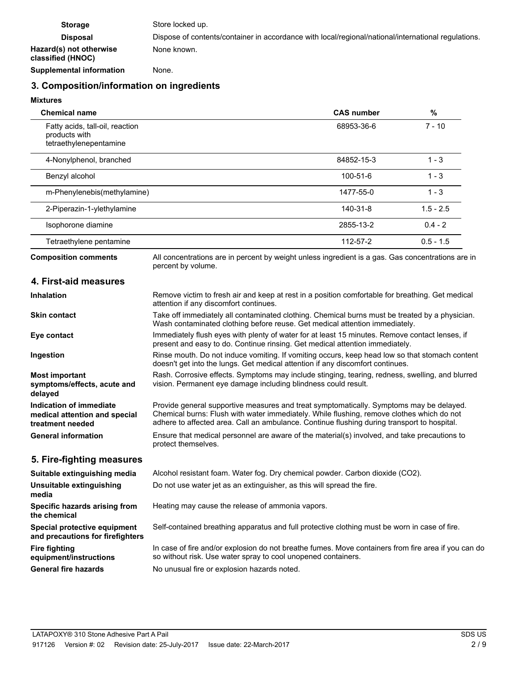| <b>Storage</b>                               | Store locked up.                                                                                    |
|----------------------------------------------|-----------------------------------------------------------------------------------------------------|
| <b>Disposal</b>                              | Dispose of contents/container in accordance with local/regional/national/international regulations. |
| Hazard(s) not otherwise<br>classified (HNOC) | None known.                                                                                         |
| Supplemental information                     | None.                                                                                               |

## **3. Composition/information on ingredients**

### **Mixtures**

| <b>Chemical name</b>                                                         |                                                                                                                                                                                                                                                                                     | <b>CAS number</b> | $\%$        |
|------------------------------------------------------------------------------|-------------------------------------------------------------------------------------------------------------------------------------------------------------------------------------------------------------------------------------------------------------------------------------|-------------------|-------------|
| Fatty acids, tall-oil, reaction<br>products with<br>tetraethylenepentamine   |                                                                                                                                                                                                                                                                                     | 68953-36-6        | $7 - 10$    |
| 4-Nonylphenol, branched                                                      |                                                                                                                                                                                                                                                                                     | 84852-15-3        | $1 - 3$     |
| Benzyl alcohol                                                               |                                                                                                                                                                                                                                                                                     | 100-51-6          | $1 - 3$     |
| m-Phenylenebis(methylamine)                                                  |                                                                                                                                                                                                                                                                                     | 1477-55-0         | $1 - 3$     |
| 2-Piperazin-1-ylethylamine                                                   |                                                                                                                                                                                                                                                                                     | 140-31-8          | $1.5 - 2.5$ |
| Isophorone diamine                                                           |                                                                                                                                                                                                                                                                                     | 2855-13-2         | $0.4 - 2$   |
| Tetraethylene pentamine                                                      |                                                                                                                                                                                                                                                                                     | 112-57-2          | $0.5 - 1.5$ |
| <b>Composition comments</b>                                                  | All concentrations are in percent by weight unless ingredient is a gas. Gas concentrations are in<br>percent by volume.                                                                                                                                                             |                   |             |
| 4. First-aid measures                                                        |                                                                                                                                                                                                                                                                                     |                   |             |
| <b>Inhalation</b>                                                            | Remove victim to fresh air and keep at rest in a position comfortable for breathing. Get medical<br>attention if any discomfort continues.                                                                                                                                          |                   |             |
| <b>Skin contact</b>                                                          | Take off immediately all contaminated clothing. Chemical burns must be treated by a physician.<br>Wash contaminated clothing before reuse. Get medical attention immediately.                                                                                                       |                   |             |
| Eye contact                                                                  | Immediately flush eyes with plenty of water for at least 15 minutes. Remove contact lenses, if<br>present and easy to do. Continue rinsing. Get medical attention immediately.                                                                                                      |                   |             |
| Ingestion                                                                    | Rinse mouth. Do not induce vomiting. If vomiting occurs, keep head low so that stomach content<br>doesn't get into the lungs. Get medical attention if any discomfort continues.                                                                                                    |                   |             |
| <b>Most important</b><br>symptoms/effects, acute and<br>delayed              | Rash. Corrosive effects. Symptoms may include stinging, tearing, redness, swelling, and blurred<br>vision. Permanent eye damage including blindness could result.                                                                                                                   |                   |             |
| Indication of immediate<br>medical attention and special<br>treatment needed | Provide general supportive measures and treat symptomatically. Symptoms may be delayed.<br>Chemical burns: Flush with water immediately. While flushing, remove clothes which do not<br>adhere to affected area. Call an ambulance. Continue flushing during transport to hospital. |                   |             |
| <b>General information</b>                                                   | Ensure that medical personnel are aware of the material(s) involved, and take precautions to<br>protect themselves.                                                                                                                                                                 |                   |             |
| 5. Fire-fighting measures                                                    |                                                                                                                                                                                                                                                                                     |                   |             |
| Suitable extinguishing media                                                 | Alcohol resistant foam. Water fog. Dry chemical powder. Carbon dioxide (CO2).                                                                                                                                                                                                       |                   |             |
| Unsuitable extinguishing<br>media                                            | Do not use water jet as an extinguisher, as this will spread the fire.                                                                                                                                                                                                              |                   |             |
| Specific hazards arising from<br>the chemical                                | Heating may cause the release of ammonia vapors.                                                                                                                                                                                                                                    |                   |             |
| Special protective equipment<br>and precautions for firefighters             | Self-contained breathing apparatus and full protective clothing must be worn in case of fire.                                                                                                                                                                                       |                   |             |
| <b>Fire fighting</b><br>equipment/instructions                               | In case of fire and/or explosion do not breathe fumes. Move containers from fire area if you can do<br>so without risk. Use water spray to cool unopened containers.                                                                                                                |                   |             |

General fire hazards **No unusual fire or explosion hazards noted.**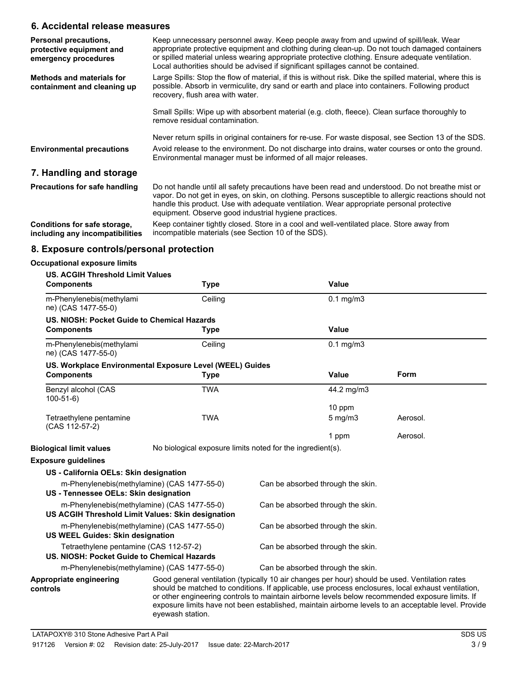### **6. Accidental release measures**

| Personal precautions,<br>protective equipment and<br>emergency procedures | Keep unnecessary personnel away. Keep people away from and upwind of spill/leak. Wear<br>appropriate protective equipment and clothing during clean-up. Do not touch damaged containers<br>or spilled material unless wearing appropriate protective clothing. Ensure adequate ventilation.<br>Local authorities should be advised if significant spillages cannot be contained. |
|---------------------------------------------------------------------------|----------------------------------------------------------------------------------------------------------------------------------------------------------------------------------------------------------------------------------------------------------------------------------------------------------------------------------------------------------------------------------|
| Methods and materials for<br>containment and cleaning up                  | Large Spills: Stop the flow of material, if this is without risk. Dike the spilled material, where this is<br>possible. Absorb in vermiculite, dry sand or earth and place into containers. Following product<br>recovery, flush area with water.                                                                                                                                |
|                                                                           | Small Spills: Wipe up with absorbent material (e.g. cloth, fleece). Clean surface thoroughly to<br>remove residual contamination.                                                                                                                                                                                                                                                |
|                                                                           | Never return spills in original containers for re-use. For waste disposal, see Section 13 of the SDS.                                                                                                                                                                                                                                                                            |
| <b>Environmental precautions</b>                                          | Avoid release to the environment. Do not discharge into drains, water courses or onto the ground.<br>Environmental manager must be informed of all major releases.                                                                                                                                                                                                               |
| 7. Handling and storage                                                   |                                                                                                                                                                                                                                                                                                                                                                                  |
| Precautions for safe handling                                             | Do not handle until all safety precautions have been read and understood. Do not breathe mist or<br>vapor. Do not get in eyes, on skin, on clothing. Persons susceptible to allergic reactions should not<br>handle this product. Use with adequate ventilation. Wear appropriate personal protective<br>equipment. Observe good industrial hygiene practices.                   |

Keep container tightly closed. Store in a cool and well-ventilated place. Store away from incompatible materials (see Section 10 of the SDS). **Conditions for safe storage, including any incompatibilities**

### **8. Exposure controls/personal protection**

#### **Occupational exposure limits**

| <b>US. ACGIH Threshold Limit Values</b><br><b>Components</b> | <b>Type</b>                                                                                    |                                   | <b>Value</b>   |                                                                                                                                                                                                                                                                                                              |
|--------------------------------------------------------------|------------------------------------------------------------------------------------------------|-----------------------------------|----------------|--------------------------------------------------------------------------------------------------------------------------------------------------------------------------------------------------------------------------------------------------------------------------------------------------------------|
| m-Phenylenebis(methylami<br>ne) (CAS 1477-55-0)              | Ceiling                                                                                        |                                   | $0.1$ mg/m $3$ |                                                                                                                                                                                                                                                                                                              |
| US. NIOSH: Pocket Guide to Chemical Hazards                  |                                                                                                |                                   |                |                                                                                                                                                                                                                                                                                                              |
| <b>Components</b>                                            | <b>Type</b>                                                                                    |                                   | <b>Value</b>   |                                                                                                                                                                                                                                                                                                              |
| m-Phenylenebis(methylami<br>ne) (CAS 1477-55-0)              | Ceiling                                                                                        |                                   | $0.1$ mg/m $3$ |                                                                                                                                                                                                                                                                                                              |
|                                                              | US. Workplace Environmental Exposure Level (WEEL) Guides                                       |                                   |                |                                                                                                                                                                                                                                                                                                              |
| <b>Components</b>                                            | <b>Type</b>                                                                                    |                                   | <b>Value</b>   | Form                                                                                                                                                                                                                                                                                                         |
| Benzyl alcohol (CAS<br>$100 - 51 - 6$                        | <b>TWA</b>                                                                                     |                                   | 44.2 mg/m3     |                                                                                                                                                                                                                                                                                                              |
|                                                              |                                                                                                |                                   | 10 ppm         |                                                                                                                                                                                                                                                                                                              |
| Tetraethylene pentamine<br>(CAS 112-57-2)                    | <b>TWA</b>                                                                                     |                                   | $5$ mg/m $3$   | Aerosol.                                                                                                                                                                                                                                                                                                     |
|                                                              |                                                                                                |                                   | 1 ppm          | Aerosol.                                                                                                                                                                                                                                                                                                     |
| <b>Biological limit values</b>                               | No biological exposure limits noted for the ingredient(s).                                     |                                   |                |                                                                                                                                                                                                                                                                                                              |
| <b>Exposure guidelines</b>                                   |                                                                                                |                                   |                |                                                                                                                                                                                                                                                                                                              |
| US - California OELs: Skin designation                       |                                                                                                |                                   |                |                                                                                                                                                                                                                                                                                                              |
| US - Tennessee OELs: Skin designation                        | m-Phenylenebis(methylamine) (CAS 1477-55-0)                                                    | Can be absorbed through the skin. |                |                                                                                                                                                                                                                                                                                                              |
|                                                              | m-Phenylenebis(methylamine) (CAS 1477-55-0)                                                    | Can be absorbed through the skin. |                |                                                                                                                                                                                                                                                                                                              |
| US ACGIH Threshold Limit Values: Skin designation            |                                                                                                |                                   |                |                                                                                                                                                                                                                                                                                                              |
| <b>US WEEL Guides: Skin designation</b>                      | m-Phenylenebis(methylamine) (CAS 1477-55-0)                                                    | Can be absorbed through the skin. |                |                                                                                                                                                                                                                                                                                                              |
| Tetraethylene pentamine (CAS 112-57-2)                       |                                                                                                | Can be absorbed through the skin. |                |                                                                                                                                                                                                                                                                                                              |
| US. NIOSH: Pocket Guide to Chemical Hazards                  |                                                                                                |                                   |                |                                                                                                                                                                                                                                                                                                              |
|                                                              | m-Phenylenebis(methylamine) (CAS 1477-55-0)                                                    | Can be absorbed through the skin. |                |                                                                                                                                                                                                                                                                                                              |
| Appropriate engineering<br>controls                          | Good general ventilation (typically 10 air changes per hour) should be used. Ventilation rates |                                   |                | should be matched to conditions. If applicable, use process enclosures, local exhaust ventilation,<br>or other engineering controls to maintain airborne levels below recommended exposure limits. If<br>exposure limits have not been established, maintain airborne levels to an acceptable level. Provide |

eyewash station.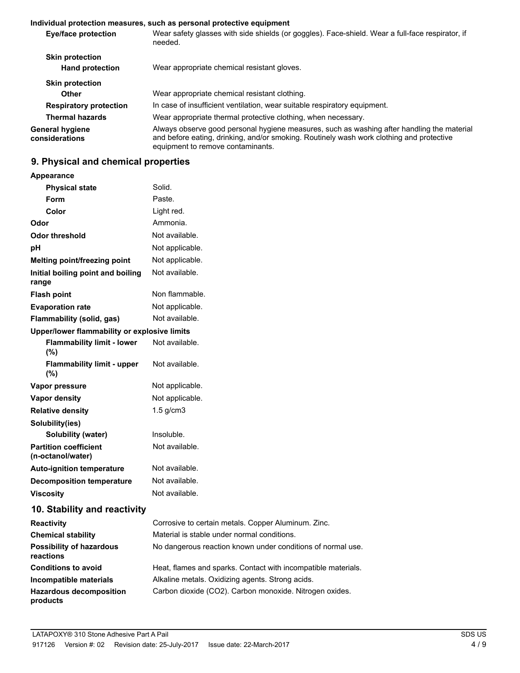#### **Individual protection measures, such as personal protective equipment**

| Eye/face protection                              | Wear safety glasses with side shields (or goggles). Face-shield. Wear a full-face respirator, if<br>needed.                                                                                                                 |
|--------------------------------------------------|-----------------------------------------------------------------------------------------------------------------------------------------------------------------------------------------------------------------------------|
| <b>Skin protection</b><br><b>Hand protection</b> | Wear appropriate chemical resistant gloves.                                                                                                                                                                                 |
| <b>Skin protection</b>                           |                                                                                                                                                                                                                             |
| <b>Other</b>                                     | Wear appropriate chemical resistant clothing.                                                                                                                                                                               |
| <b>Respiratory protection</b>                    | In case of insufficient ventilation, wear suitable respiratory equipment.                                                                                                                                                   |
| <b>Thermal hazards</b>                           | Wear appropriate thermal protective clothing, when necessary.                                                                                                                                                               |
| General hygiene<br>considerations                | Always observe good personal hygiene measures, such as washing after handling the material<br>and before eating, drinking, and/or smoking. Routinely wash work clothing and protective<br>equipment to remove contaminants. |

# **9. Physical and chemical properties**

| <b>Physical state</b>                             | Solid.                                                        |
|---------------------------------------------------|---------------------------------------------------------------|
| Form                                              | Paste.                                                        |
| Color                                             | Light red.                                                    |
| Odor                                              | Ammonia.                                                      |
| <b>Odor threshold</b>                             | Not available.                                                |
| рH                                                | Not applicable.                                               |
| Melting point/freezing point                      | Not applicable.                                               |
| Initial boiling point and boiling<br>range        | Not available.                                                |
| <b>Flash point</b>                                | Non flammable.                                                |
| <b>Evaporation rate</b>                           | Not applicable.                                               |
| Flammability (solid, gas)                         | Not available.                                                |
| Upper/lower flammability or explosive limits      |                                                               |
| <b>Flammability limit - lower</b><br>(%)          | Not available.                                                |
| <b>Flammability limit - upper</b><br>(%)          | Not available.                                                |
| Vapor pressure                                    | Not applicable.                                               |
| Vapor density                                     | Not applicable.                                               |
| <b>Relative density</b>                           | $1.5$ g/cm $3$                                                |
| Solubility(ies)                                   |                                                               |
| <b>Solubility (water)</b>                         | Insoluble.                                                    |
| <b>Partition coefficient</b><br>(n-octanol/water) | Not available.                                                |
| <b>Auto-ignition temperature</b>                  | Not available.                                                |
| <b>Decomposition temperature</b>                  | Not available.                                                |
| <b>Viscosity</b>                                  | Not available.                                                |
| 10. Stability and reactivity                      |                                                               |
| <b>Reactivity</b>                                 | Corrosive to certain metals. Copper Aluminum. Zinc.           |
| <b>Chemical stability</b>                         | Material is stable under normal conditions.                   |
| <b>Possibility of hazardous</b><br>reactions      | No dangerous reaction known under conditions of normal use.   |
| <b>Conditions to avoid</b>                        | Heat, flames and sparks. Contact with incompatible materials. |
| Incompatible materials                            | Alkaline metals. Oxidizing agents. Strong acids.              |
| <b>Hazardous decomposition</b><br>products        | Carbon dioxide (CO2). Carbon monoxide. Nitrogen oxides.       |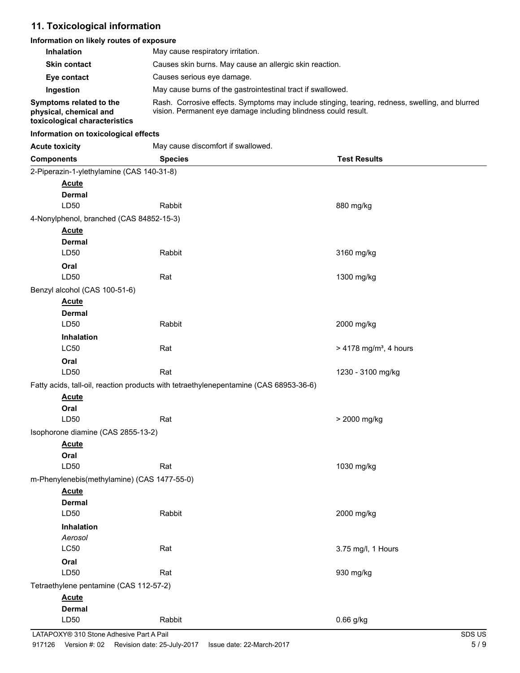### **11. Toxicological information**

### **Information on likely routes of exposure**

| <b>Inhalation</b>                                                                  | May cause respiratory irritation.                                                                                                                                 |
|------------------------------------------------------------------------------------|-------------------------------------------------------------------------------------------------------------------------------------------------------------------|
| <b>Skin contact</b>                                                                | Causes skin burns. May cause an allergic skin reaction.                                                                                                           |
| Eye contact                                                                        | Causes serious eye damage.                                                                                                                                        |
| Ingestion                                                                          | May cause burns of the gastrointestinal tract if swallowed.                                                                                                       |
| Symptoms related to the<br>physical, chemical and<br>toxicological characteristics | Rash. Corrosive effects. Symptoms may include stinging, tearing, redness, swelling, and blurred<br>vision. Permanent eye damage including blindness could result. |

### **Information on toxicological effects**

| <b>Acute toxicity</b>         |                                             | May cause discomfort if swallowed.                                                    |                                      |  |  |  |
|-------------------------------|---------------------------------------------|---------------------------------------------------------------------------------------|--------------------------------------|--|--|--|
| <b>Components</b>             | <b>Species</b><br><b>Test Results</b>       |                                                                                       |                                      |  |  |  |
|                               | 2-Piperazin-1-ylethylamine (CAS 140-31-8)   |                                                                                       |                                      |  |  |  |
| <b>Acute</b>                  |                                             |                                                                                       |                                      |  |  |  |
| <b>Dermal</b>                 |                                             |                                                                                       |                                      |  |  |  |
| LD50                          |                                             | Rabbit                                                                                | 880 mg/kg                            |  |  |  |
|                               | 4-Nonylphenol, branched (CAS 84852-15-3)    |                                                                                       |                                      |  |  |  |
| <b>Acute</b>                  |                                             |                                                                                       |                                      |  |  |  |
| <b>Dermal</b>                 |                                             |                                                                                       |                                      |  |  |  |
| LD50                          |                                             | Rabbit                                                                                | 3160 mg/kg                           |  |  |  |
| Oral                          |                                             |                                                                                       |                                      |  |  |  |
| LD50                          |                                             | Rat                                                                                   | 1300 mg/kg                           |  |  |  |
| Benzyl alcohol (CAS 100-51-6) |                                             |                                                                                       |                                      |  |  |  |
| <b>Acute</b>                  |                                             |                                                                                       |                                      |  |  |  |
| <b>Dermal</b><br>LD50         |                                             | Rabbit                                                                                | 2000 mg/kg                           |  |  |  |
| Inhalation                    |                                             |                                                                                       |                                      |  |  |  |
| <b>LC50</b>                   |                                             | Rat                                                                                   | $> 4178$ mg/m <sup>3</sup> , 4 hours |  |  |  |
| Oral                          |                                             |                                                                                       |                                      |  |  |  |
| LD50                          |                                             | Rat                                                                                   | 1230 - 3100 mg/kg                    |  |  |  |
|                               |                                             | Fatty acids, tall-oil, reaction products with tetraethylenepentamine (CAS 68953-36-6) |                                      |  |  |  |
| <b>Acute</b>                  |                                             |                                                                                       |                                      |  |  |  |
| Oral                          |                                             |                                                                                       |                                      |  |  |  |
| LD50                          |                                             | Rat                                                                                   | > 2000 mg/kg                         |  |  |  |
|                               | Isophorone diamine (CAS 2855-13-2)          |                                                                                       |                                      |  |  |  |
| <b>Acute</b>                  |                                             |                                                                                       |                                      |  |  |  |
| Oral                          |                                             |                                                                                       |                                      |  |  |  |
| LD50                          |                                             | Rat                                                                                   | 1030 mg/kg                           |  |  |  |
|                               | m-Phenylenebis(methylamine) (CAS 1477-55-0) |                                                                                       |                                      |  |  |  |
| <b>Acute</b>                  |                                             |                                                                                       |                                      |  |  |  |
| <b>Dermal</b>                 |                                             |                                                                                       |                                      |  |  |  |
| LD50                          |                                             | Rabbit                                                                                | 2000 mg/kg                           |  |  |  |
| Inhalation                    |                                             |                                                                                       |                                      |  |  |  |
| Aerosol                       |                                             |                                                                                       |                                      |  |  |  |
| L <sub>C</sub> 50             |                                             | Rat                                                                                   | 3.75 mg/l, 1 Hours                   |  |  |  |
| Oral                          |                                             |                                                                                       |                                      |  |  |  |
| LD50                          |                                             | Rat                                                                                   | 930 mg/kg                            |  |  |  |
|                               | Tetraethylene pentamine (CAS 112-57-2)      |                                                                                       |                                      |  |  |  |
| <b>Acute</b>                  |                                             |                                                                                       |                                      |  |  |  |
| <b>Dermal</b><br>LD50         |                                             | Rabbit                                                                                | 0.66 g/kg                            |  |  |  |
|                               |                                             |                                                                                       |                                      |  |  |  |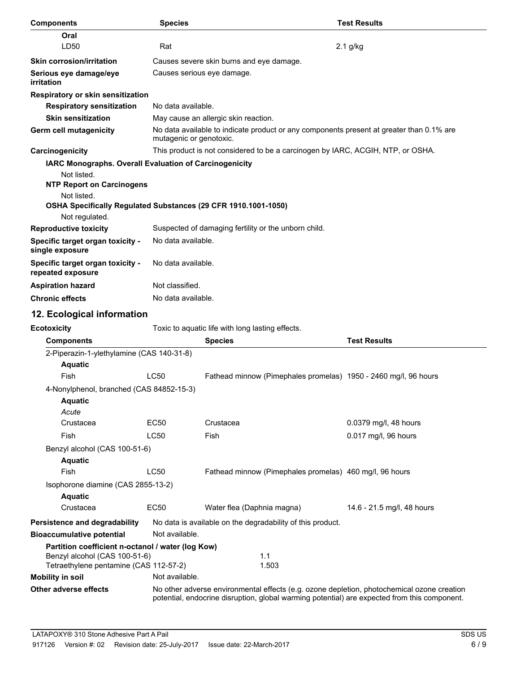| <b>Components</b>                                                             | <b>Species</b>                                                                                                                                                                             |                                                                                                                     | <b>Test Results</b>        |  |  |
|-------------------------------------------------------------------------------|--------------------------------------------------------------------------------------------------------------------------------------------------------------------------------------------|---------------------------------------------------------------------------------------------------------------------|----------------------------|--|--|
| Oral                                                                          |                                                                                                                                                                                            |                                                                                                                     |                            |  |  |
| LD50                                                                          | Rat<br>$2.1$ g/kg                                                                                                                                                                          |                                                                                                                     |                            |  |  |
| <b>Skin corrosion/irritation</b>                                              | Causes severe skin burns and eye damage.                                                                                                                                                   |                                                                                                                     |                            |  |  |
| Serious eye damage/eye<br>irritation                                          |                                                                                                                                                                                            | Causes serious eye damage.                                                                                          |                            |  |  |
| Respiratory or skin sensitization                                             |                                                                                                                                                                                            |                                                                                                                     |                            |  |  |
| <b>Respiratory sensitization</b>                                              |                                                                                                                                                                                            | No data available.                                                                                                  |                            |  |  |
| <b>Skin sensitization</b>                                                     |                                                                                                                                                                                            | May cause an allergic skin reaction.                                                                                |                            |  |  |
| Germ cell mutagenicity                                                        |                                                                                                                                                                                            | No data available to indicate product or any components present at greater than 0.1% are<br>mutagenic or genotoxic. |                            |  |  |
| Carcinogenicity                                                               |                                                                                                                                                                                            | This product is not considered to be a carcinogen by IARC, ACGIH, NTP, or OSHA.                                     |                            |  |  |
| IARC Monographs. Overall Evaluation of Carcinogenicity                        |                                                                                                                                                                                            |                                                                                                                     |                            |  |  |
| Not listed.<br><b>NTP Report on Carcinogens</b>                               |                                                                                                                                                                                            |                                                                                                                     |                            |  |  |
| Not listed.<br>OSHA Specifically Regulated Substances (29 CFR 1910.1001-1050) |                                                                                                                                                                                            |                                                                                                                     |                            |  |  |
| Not regulated.<br><b>Reproductive toxicity</b>                                |                                                                                                                                                                                            | Suspected of damaging fertility or the unborn child.                                                                |                            |  |  |
| Specific target organ toxicity -                                              | No data available.                                                                                                                                                                         |                                                                                                                     |                            |  |  |
| single exposure                                                               |                                                                                                                                                                                            |                                                                                                                     |                            |  |  |
| Specific target organ toxicity -<br>repeated exposure                         | No data available.                                                                                                                                                                         |                                                                                                                     |                            |  |  |
| <b>Aspiration hazard</b>                                                      | Not classified.                                                                                                                                                                            |                                                                                                                     |                            |  |  |
| <b>Chronic effects</b>                                                        |                                                                                                                                                                                            | No data available.                                                                                                  |                            |  |  |
| 12. Ecological information                                                    |                                                                                                                                                                                            |                                                                                                                     |                            |  |  |
| <b>Ecotoxicity</b>                                                            |                                                                                                                                                                                            | Toxic to aquatic life with long lasting effects.                                                                    |                            |  |  |
| <b>Components</b>                                                             |                                                                                                                                                                                            | <b>Species</b>                                                                                                      | <b>Test Results</b>        |  |  |
| 2-Piperazin-1-ylethylamine (CAS 140-31-8)                                     |                                                                                                                                                                                            |                                                                                                                     |                            |  |  |
| <b>Aquatic</b>                                                                |                                                                                                                                                                                            |                                                                                                                     |                            |  |  |
| Fish                                                                          | LC50                                                                                                                                                                                       | Fathead minnow (Pimephales promelas) 1950 - 2460 mg/l, 96 hours                                                     |                            |  |  |
| 4-Nonylphenol, branched (CAS 84852-15-3)<br><b>Aquatic</b>                    |                                                                                                                                                                                            |                                                                                                                     |                            |  |  |
| Acute                                                                         |                                                                                                                                                                                            |                                                                                                                     |                            |  |  |
| Crustacea                                                                     | EC50                                                                                                                                                                                       | Crustacea                                                                                                           | 0.0379 mg/l, 48 hours      |  |  |
| Fish                                                                          | <b>LC50</b>                                                                                                                                                                                | Fish                                                                                                                | 0.017 mg/l, 96 hours       |  |  |
| Benzyl alcohol (CAS 100-51-6)<br><b>Aquatic</b>                               |                                                                                                                                                                                            |                                                                                                                     |                            |  |  |
| Fish                                                                          | <b>LC50</b>                                                                                                                                                                                | Fathead minnow (Pimephales promelas) 460 mg/l, 96 hours                                                             |                            |  |  |
| Isophorone diamine (CAS 2855-13-2)<br><b>Aquatic</b>                          |                                                                                                                                                                                            |                                                                                                                     |                            |  |  |
| Crustacea                                                                     | <b>EC50</b>                                                                                                                                                                                | Water flea (Daphnia magna)                                                                                          | 14.6 - 21.5 mg/l, 48 hours |  |  |
| Persistence and degradability                                                 |                                                                                                                                                                                            | No data is available on the degradability of this product.                                                          |                            |  |  |
| <b>Bioaccumulative potential</b>                                              | Not available.                                                                                                                                                                             |                                                                                                                     |                            |  |  |
| Partition coefficient n-octanol / water (log Kow)                             |                                                                                                                                                                                            |                                                                                                                     |                            |  |  |
| Benzyl alcohol (CAS 100-51-6)<br>Tetraethylene pentamine (CAS 112-57-2)       |                                                                                                                                                                                            | 1.1<br>1.503                                                                                                        |                            |  |  |
| <b>Mobility in soil</b>                                                       | Not available.                                                                                                                                                                             |                                                                                                                     |                            |  |  |
| Other adverse effects                                                         |                                                                                                                                                                                            |                                                                                                                     |                            |  |  |
|                                                                               | No other adverse environmental effects (e.g. ozone depletion, photochemical ozone creation<br>potential, endocrine disruption, global warming potential) are expected from this component. |                                                                                                                     |                            |  |  |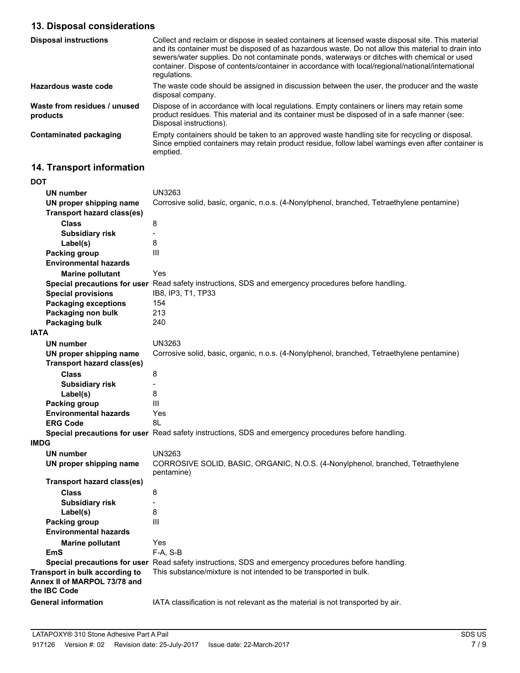# **13. Disposal considerations**

| <b>Disposal instructions</b>             | Collect and reclaim or dispose in sealed containers at licensed waste disposal site. This material<br>and its container must be disposed of as hazardous waste. Do not allow this material to drain into<br>sewers/water supplies. Do not contaminate ponds, waterways or ditches with chemical or used<br>container. Dispose of contents/container in accordance with local/regional/national/international<br>regulations. |
|------------------------------------------|------------------------------------------------------------------------------------------------------------------------------------------------------------------------------------------------------------------------------------------------------------------------------------------------------------------------------------------------------------------------------------------------------------------------------|
| Hazardous waste code                     | The waste code should be assigned in discussion between the user, the producer and the waste<br>disposal company.                                                                                                                                                                                                                                                                                                            |
| Waste from residues / unused<br>products | Dispose of in accordance with local regulations. Empty containers or liners may retain some<br>product residues. This material and its container must be disposed of in a safe manner (see:<br>Disposal instructions).                                                                                                                                                                                                       |
| <b>Contaminated packaging</b>            | Empty containers should be taken to an approved waste handling site for recycling or disposal.<br>Since emptied containers may retain product residue, follow label warnings even after container is<br>emptied.                                                                                                                                                                                                             |

# **14. Transport information**

| DOT                                                                            |                                                                                                      |  |  |
|--------------------------------------------------------------------------------|------------------------------------------------------------------------------------------------------|--|--|
| <b>UN number</b>                                                               | UN3263                                                                                               |  |  |
| UN proper shipping name                                                        | Corrosive solid, basic, organic, n.o.s. (4-Nonylphenol, branched, Tetraethylene pentamine)           |  |  |
| <b>Transport hazard class(es)</b>                                              |                                                                                                      |  |  |
| <b>Class</b>                                                                   | 8                                                                                                    |  |  |
| <b>Subsidiary risk</b>                                                         | $\blacksquare$                                                                                       |  |  |
| Label(s)                                                                       | 8                                                                                                    |  |  |
| Packing group                                                                  | Ш                                                                                                    |  |  |
| <b>Environmental hazards</b>                                                   |                                                                                                      |  |  |
| <b>Marine pollutant</b>                                                        | Yes                                                                                                  |  |  |
|                                                                                | Special precautions for user Read safety instructions, SDS and emergency procedures before handling. |  |  |
| <b>Special provisions</b>                                                      | IB8, IP3, T1, TP33                                                                                   |  |  |
| <b>Packaging exceptions</b>                                                    | 154                                                                                                  |  |  |
| Packaging non bulk                                                             | 213                                                                                                  |  |  |
| Packaging bulk                                                                 | 240                                                                                                  |  |  |
| <b>IATA</b>                                                                    |                                                                                                      |  |  |
| <b>UN number</b>                                                               | UN3263                                                                                               |  |  |
| UN proper shipping name                                                        | Corrosive solid, basic, organic, n.o.s. (4-Nonylphenol, branched, Tetraethylene pentamine)           |  |  |
| <b>Transport hazard class(es)</b>                                              |                                                                                                      |  |  |
| <b>Class</b>                                                                   | 8                                                                                                    |  |  |
| <b>Subsidiary risk</b>                                                         | $\overline{\phantom{a}}$                                                                             |  |  |
| Label(s)                                                                       | 8                                                                                                    |  |  |
| Packing group                                                                  | III                                                                                                  |  |  |
| <b>Environmental hazards</b>                                                   | Yes                                                                                                  |  |  |
| <b>ERG Code</b>                                                                | 8L                                                                                                   |  |  |
|                                                                                | Special precautions for user Read safety instructions, SDS and emergency procedures before handling. |  |  |
| <b>IMDG</b>                                                                    |                                                                                                      |  |  |
| <b>UN number</b>                                                               | UN3263                                                                                               |  |  |
| UN proper shipping name                                                        | CORROSIVE SOLID, BASIC, ORGANIC, N.O.S. (4-Nonylphenol, branched, Tetraethylene<br>pentamine)        |  |  |
| <b>Transport hazard class(es)</b>                                              |                                                                                                      |  |  |
| <b>Class</b>                                                                   | 8                                                                                                    |  |  |
| <b>Subsidiary risk</b>                                                         | $\overline{a}$                                                                                       |  |  |
| Label(s)                                                                       | 8                                                                                                    |  |  |
| <b>Packing group</b>                                                           | III                                                                                                  |  |  |
| <b>Environmental hazards</b>                                                   |                                                                                                      |  |  |
| <b>Marine pollutant</b>                                                        | Yes                                                                                                  |  |  |
| EmS                                                                            | $F-A, S-B$                                                                                           |  |  |
|                                                                                | Special precautions for user Read safety instructions, SDS and emergency procedures before handling. |  |  |
| Transport in bulk according to<br>Annex II of MARPOL 73/78 and<br>the IBC Code | This substance/mixture is not intended to be transported in bulk.                                    |  |  |
| <b>General information</b>                                                     | IATA classification is not relevant as the material is not transported by air.                       |  |  |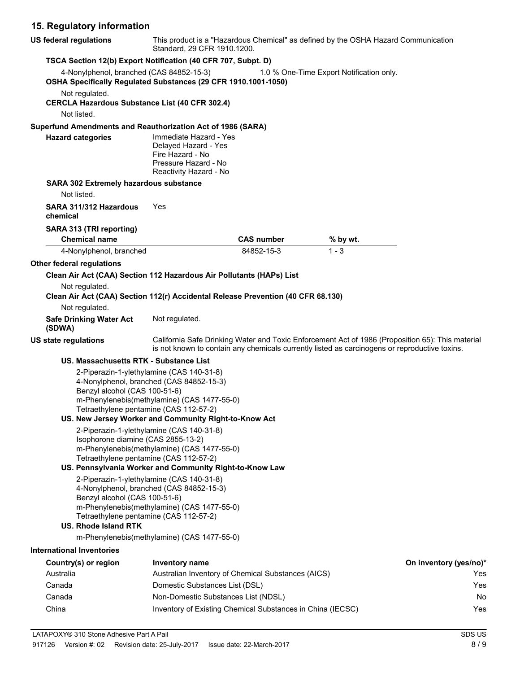# **15. Regulatory information**

| US federal regulations                                                                                                                              | Standard, 29 CFR 1910.1200.                                                                                          |                   | This product is a "Hazardous Chemical" as defined by the OSHA Hazard Communication                                                                                                                |                               |
|-----------------------------------------------------------------------------------------------------------------------------------------------------|----------------------------------------------------------------------------------------------------------------------|-------------------|---------------------------------------------------------------------------------------------------------------------------------------------------------------------------------------------------|-------------------------------|
| TSCA Section 12(b) Export Notification (40 CFR 707, Subpt. D)                                                                                       |                                                                                                                      |                   |                                                                                                                                                                                                   |                               |
| 4-Nonylphenol, branched (CAS 84852-15-3)<br>OSHA Specifically Regulated Substances (29 CFR 1910.1001-1050)                                          |                                                                                                                      |                   | 1.0 % One-Time Export Notification only.                                                                                                                                                          |                               |
| Not regulated.<br><b>CERCLA Hazardous Substance List (40 CFR 302.4)</b>                                                                             |                                                                                                                      |                   |                                                                                                                                                                                                   |                               |
| Not listed.                                                                                                                                         |                                                                                                                      |                   |                                                                                                                                                                                                   |                               |
| Superfund Amendments and Reauthorization Act of 1986 (SARA)<br><b>Hazard categories</b>                                                             | Immediate Hazard - Yes<br>Delayed Hazard - Yes<br>Fire Hazard - No<br>Pressure Hazard - No<br>Reactivity Hazard - No |                   |                                                                                                                                                                                                   |                               |
| <b>SARA 302 Extremely hazardous substance</b>                                                                                                       |                                                                                                                      |                   |                                                                                                                                                                                                   |                               |
| Not listed.                                                                                                                                         |                                                                                                                      |                   |                                                                                                                                                                                                   |                               |
| SARA 311/312 Hazardous<br>chemical                                                                                                                  | Yes                                                                                                                  |                   |                                                                                                                                                                                                   |                               |
| SARA 313 (TRI reporting)<br><b>Chemical name</b>                                                                                                    |                                                                                                                      | <b>CAS number</b> | % by wt.                                                                                                                                                                                          |                               |
| 4-Nonylphenol, branched                                                                                                                             |                                                                                                                      | 84852-15-3        | $1 - 3$                                                                                                                                                                                           |                               |
| Other federal regulations                                                                                                                           |                                                                                                                      |                   |                                                                                                                                                                                                   |                               |
| Clean Air Act (CAA) Section 112 Hazardous Air Pollutants (HAPs) List                                                                                |                                                                                                                      |                   |                                                                                                                                                                                                   |                               |
| Not regulated.<br>Clean Air Act (CAA) Section 112(r) Accidental Release Prevention (40 CFR 68.130)                                                  |                                                                                                                      |                   |                                                                                                                                                                                                   |                               |
| Not regulated.                                                                                                                                      |                                                                                                                      |                   |                                                                                                                                                                                                   |                               |
| <b>Safe Drinking Water Act</b><br>(SDWA)                                                                                                            | Not regulated.                                                                                                       |                   |                                                                                                                                                                                                   |                               |
| US state regulations                                                                                                                                |                                                                                                                      |                   | California Safe Drinking Water and Toxic Enforcement Act of 1986 (Proposition 65): This material<br>is not known to contain any chemicals currently listed as carcinogens or reproductive toxins. |                               |
| US. Massachusetts RTK - Substance List                                                                                                              |                                                                                                                      |                   |                                                                                                                                                                                                   |                               |
| 2-Piperazin-1-ylethylamine (CAS 140-31-8)<br>Benzyl alcohol (CAS 100-51-6)<br>Tetraethylene pentamine (CAS 112-57-2)                                | 4-Nonylphenol, branched (CAS 84852-15-3)<br>m-Phenylenebis(methylamine) (CAS 1477-55-0)                              |                   |                                                                                                                                                                                                   |                               |
| US. New Jersey Worker and Community Right-to-Know Act                                                                                               |                                                                                                                      |                   |                                                                                                                                                                                                   |                               |
| 2-Piperazin-1-ylethylamine (CAS 140-31-8)<br>Isophorone diamine (CAS 2855-13-2)<br>Tetraethylene pentamine (CAS 112-57-2)                           | m-Phenylenebis(methylamine) (CAS 1477-55-0)                                                                          |                   |                                                                                                                                                                                                   |                               |
| US. Pennsylvania Worker and Community Right-to-Know Law                                                                                             |                                                                                                                      |                   |                                                                                                                                                                                                   |                               |
| 2-Piperazin-1-ylethylamine (CAS 140-31-8)<br>Benzyl alcohol (CAS 100-51-6)<br>Tetraethylene pentamine (CAS 112-57-2)<br><b>US. Rhode Island RTK</b> | 4-Nonylphenol, branched (CAS 84852-15-3)<br>m-Phenylenebis(methylamine) (CAS 1477-55-0)                              |                   |                                                                                                                                                                                                   |                               |
|                                                                                                                                                     | m-Phenylenebis(methylamine) (CAS 1477-55-0)                                                                          |                   |                                                                                                                                                                                                   |                               |
| <b>International Inventories</b>                                                                                                                    |                                                                                                                      |                   |                                                                                                                                                                                                   |                               |
| Country(s) or region<br>Australia                                                                                                                   | Inventory name<br>Australian Inventory of Chemical Substances (AICS)                                                 |                   |                                                                                                                                                                                                   | On inventory (yes/no)*<br>Yes |
| Canada                                                                                                                                              | Domestic Substances List (DSL)                                                                                       |                   |                                                                                                                                                                                                   | Yes                           |
| Canada                                                                                                                                              | Non-Domestic Substances List (NDSL)                                                                                  |                   |                                                                                                                                                                                                   | No                            |
| China                                                                                                                                               | Inventory of Existing Chemical Substances in China (IECSC)                                                           |                   |                                                                                                                                                                                                   | Yes                           |